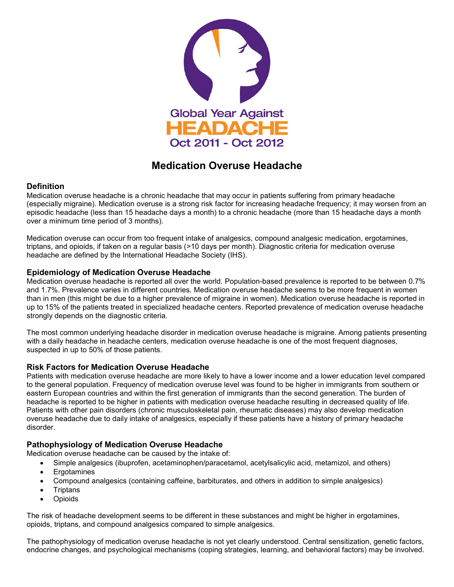

# **Medication Overuse Headache**

# **Definition**

Medication overuse headache is a chronic headache that may occur in patients suffering from primary headache (especially migraine). Medication overuse is a strong risk factor for increasing headache frequency; it may worsen from an episodic headache (less than 15 headache days a month) to a chronic headache (more than 15 headache days a month over a minimum time period of 3 months).

Medication overuse can occur from too frequent intake of analgesics, compound analgesic medication, ergotamines, triptans, and opioids, if taken on a regular basis (>10 days per month). Diagnostic criteria for medication overuse headache are defined by the International Headache Society (IHS).

# **Epidemiology of Medication Overuse Headache**

Medication overuse headache is reported all over the world. Population-based prevalence is reported to be between 0.7% and 1.7%. Prevalence varies in different countries. Medication overuse headache seems to be more frequent in women than in men (this might be due to a higher prevalence of migraine in women). Medication overuse headache is reported in up to 15% of the patients treated in specialized headache centers. Reported prevalence of medication overuse headache strongly depends on the diagnostic criteria.

The most common underlying headache disorder in medication overuse headache is migraine. Among patients presenting with a daily headache in headache centers, medication overuse headache is one of the most frequent diagnoses, suspected in up to 50% of those patients.

# **Risk Factors for Medication Overuse Headache**

Patients with medication overuse headache are more likely to have a lower income and a lower education level compared to the general population. Frequency of medication overuse level was found to be higher in immigrants from southern or eastern European countries and within the first generation of immigrants than the second generation. The burden of headache is reported to be higher in patients with medication overuse headache resulting in decreased quality of life. Patients with other pain disorders (chronic musculoskeletal pain, rheumatic diseases) may also develop medication overuse headache due to daily intake of analgesics, especially if these patients have a history of primary headache disorder.

# **Pathophysiology of Medication Overuse Headache**

Medication overuse headache can be caused by the intake of:

- Simple analgesics (ibuprofen, acetaminophen/paracetamol, acetylsalicylic acid, metamizol, and others)
- Ergotamines
- Compound analgesics (containing caffeine, barbiturates, and others in addition to simple analgesics)
- **Triptans**
- Opioids

The risk of headache development seems to be different in these substances and might be higher in ergotamines, opioids, triptans, and compound analgesics compared to simple analgesics.

The pathophysiology of medication overuse headache is not yet clearly understood. Central sensitization, genetic factors, endocrine changes, and psychological mechanisms (coping strategies, learning, and behavioral factors) may be involved.